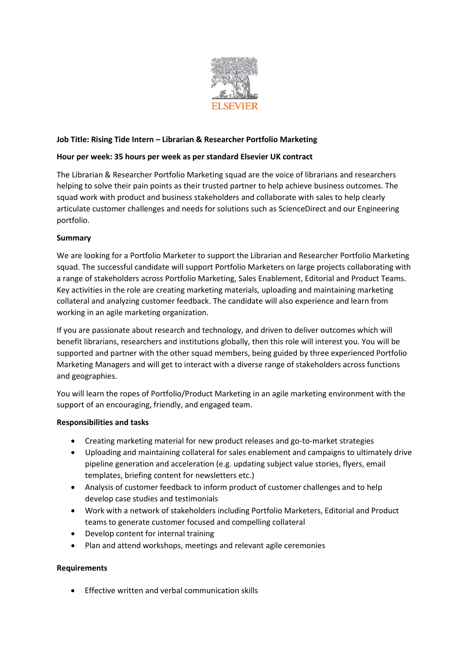

# **Job Title: Rising Tide Intern – Librarian & Researcher Portfolio Marketing**

## **Hour per week: 35 hours per week as per standard Elsevier UK contract**

The Librarian & Researcher Portfolio Marketing squad are the voice of librarians and researchers helping to solve their pain points as their trusted partner to help achieve business outcomes. The squad work with product and business stakeholders and collaborate with sales to help clearly articulate customer challenges and needs for solutions such as ScienceDirect and our Engineering portfolio.

### **Summary**

We are looking for a Portfolio Marketer to support the Librarian and Researcher Portfolio Marketing squad. The successful candidate will support Portfolio Marketers on large projects collaborating with a range of stakeholders across Portfolio Marketing, Sales Enablement, Editorial and Product Teams. Key activities in the role are creating marketing materials, uploading and maintaining marketing collateral and analyzing customer feedback. The candidate will also experience and learn from working in an agile marketing organization.

If you are passionate about research and technology, and driven to deliver outcomes which will benefit librarians, researchers and institutions globally, then this role will interest you. You will be supported and partner with the other squad members, being guided by three experienced Portfolio Marketing Managers and will get to interact with a diverse range of stakeholders across functions and geographies.

You will learn the ropes of Portfolio/Product Marketing in an agile marketing environment with the support of an encouraging, friendly, and engaged team.

### **Responsibilities and tasks**

- Creating marketing material for new product releases and go-to-market strategies
- Uploading and maintaining collateral for sales enablement and campaigns to ultimately drive pipeline generation and acceleration (e.g. updating subject value stories, flyers, email templates, briefing content for newsletters etc.)
- Analysis of customer feedback to inform product of customer challenges and to help develop case studies and testimonials
- Work with a network of stakeholders including Portfolio Marketers, Editorial and Product teams to generate customer focused and compelling collateral
- Develop content for internal training
- Plan and attend workshops, meetings and relevant agile ceremonies

### **Requirements**

• Effective written and verbal communication skills